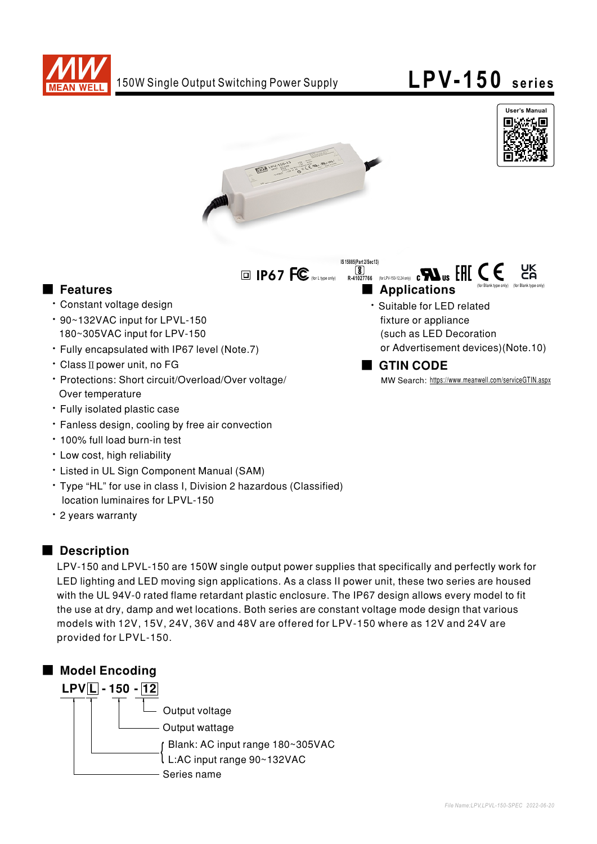



(for Blank type only)



**IP67 FC** (for Ltype only)

## ■ Features ■ Preactions

- · Constant voltage design
- 90~132VAC input for LPVL-150 180~305VAC input for LPV-150
- Fully encapsulated with IP67 level (Note.7)
- Class II power unit, no FG
- Protections: Short circuit/Overload/Over voltage/ Over temperature
- · Fully isolated plastic case
- Fanless design, cooling by free air convection
- 100% full load burn-in test
- · Low cost, high reliability
- Listed in UL Sign Component Manual (SAM)
- Type "HL" for use in class I, Division 2 hazardous (Classified) location luminaires for LPVL-150
- 2 years warranty

## ■ Description

LPV-150 and LPVL-150 are 150W single output power supplies that specifically and perfectly work for LED lighting and LED moving sign applications. As a class II power unit, these two series are housed with the UL 94V-0 rated flame retardant plastic enclosure. The IP67 design allows every model to fit the use at dry, damp and wet locations. Both series are constant voltage mode design that various models with 12V, 15V, 24V, 36V and 48V are offered for LPV-150 where as 12V and 24V are provided for LPVL-150.



· Suitable for LED related fixture or appliance (such as LED Decoration or Advertisement devices) (Note.10)

**8**<br>**R-41027766** (for LPV-150-12,24 only)

**IS 15885(Part 2/Sec13)**

(for Blank type only)

# ■ GTIN CODE

MW Search: https://www.meanwell.com/serviceGTIN.aspx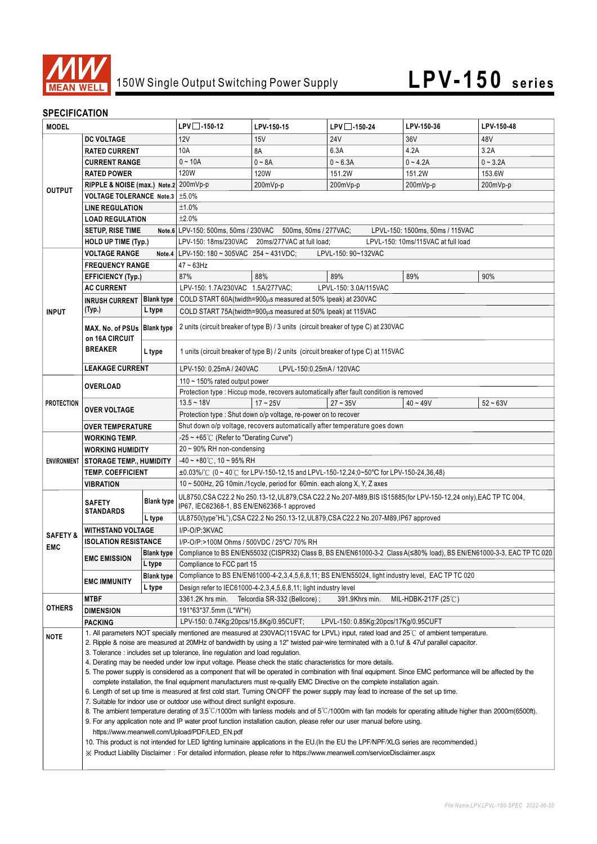

# 150W Single Output Switching Power Supply **LPV-150 series**

### **SPECIFICATION**

| <b>MODEL</b>        |                                                                                                                                                                                                                                                                                                                                                                                                                                                                                                                                                                                                                                                                                            | $LPV$ -150-12     | LPV-150-15                                                                                                                                   | $LPV$ -150-24 | LPV-150-36            | LPV-150-48 |            |
|---------------------|--------------------------------------------------------------------------------------------------------------------------------------------------------------------------------------------------------------------------------------------------------------------------------------------------------------------------------------------------------------------------------------------------------------------------------------------------------------------------------------------------------------------------------------------------------------------------------------------------------------------------------------------------------------------------------------------|-------------------|----------------------------------------------------------------------------------------------------------------------------------------------|---------------|-----------------------|------------|------------|
| <b>DC VOLTAGE</b>   |                                                                                                                                                                                                                                                                                                                                                                                                                                                                                                                                                                                                                                                                                            | 12V               | 15V                                                                                                                                          | <b>24V</b>    | 36V                   | 48V        |            |
|                     | <b>RATED CURRENT</b>                                                                                                                                                                                                                                                                                                                                                                                                                                                                                                                                                                                                                                                                       |                   | 10A                                                                                                                                          | 8A            | 6.3A                  | 4.2A       | 3.2A       |
| <b>OUTPUT</b>       | <b>CURRENT RANGE</b>                                                                                                                                                                                                                                                                                                                                                                                                                                                                                                                                                                                                                                                                       |                   | $0 - 10A$                                                                                                                                    | $0 - 8A$      | $0 - 6.3A$            | $0 - 4.2A$ | $0 - 3.2A$ |
|                     | <b>RATED POWER</b>                                                                                                                                                                                                                                                                                                                                                                                                                                                                                                                                                                                                                                                                         |                   | <b>120W</b>                                                                                                                                  | <b>120W</b>   | 151.2W                | 151.2W     | 153.6W     |
|                     | RIPPLE & NOISE (max.) Note.2 200mVp-p                                                                                                                                                                                                                                                                                                                                                                                                                                                                                                                                                                                                                                                      |                   |                                                                                                                                              | 200mVp-p      | 200mVp-p              | 200mVp-p   | 200mVp-p   |
|                     | <b>VOLTAGE TOLERANCE Note.3</b>                                                                                                                                                                                                                                                                                                                                                                                                                                                                                                                                                                                                                                                            |                   | ±5.0%                                                                                                                                        |               |                       |            |            |
|                     | <b>LINE REGULATION</b>                                                                                                                                                                                                                                                                                                                                                                                                                                                                                                                                                                                                                                                                     |                   | ±1.0%                                                                                                                                        |               |                       |            |            |
|                     | <b>LOAD REGULATION</b>                                                                                                                                                                                                                                                                                                                                                                                                                                                                                                                                                                                                                                                                     |                   | ±2.0%                                                                                                                                        |               |                       |            |            |
|                     | <b>SETUP, RISE TIME</b>                                                                                                                                                                                                                                                                                                                                                                                                                                                                                                                                                                                                                                                                    |                   | Note.6 LPV-150: 500ms, 50ms / 230VAC 500ms, 50ms / 277VAC;<br>LPVL-150: 1500ms, 50ms / 115VAC                                                |               |                       |            |            |
|                     | <b>HOLD UP TIME (Typ.)</b>                                                                                                                                                                                                                                                                                                                                                                                                                                                                                                                                                                                                                                                                 |                   | LPV-150: 18ms/230VAC 20ms/277VAC at full load;<br>LPVL-150: 10ms/115VAC at full load                                                         |               |                       |            |            |
|                     | <b>VOLTAGE RANGE</b>                                                                                                                                                                                                                                                                                                                                                                                                                                                                                                                                                                                                                                                                       |                   | Note.4   LPV-150: 180 ~ 305VAC 254 ~ 431VDC;<br>LPVL-150: 90~132VAC                                                                          |               |                       |            |            |
| <b>INPUT</b>        | <b>FREQUENCY RANGE</b>                                                                                                                                                                                                                                                                                                                                                                                                                                                                                                                                                                                                                                                                     |                   | $47 - 63$ Hz                                                                                                                                 |               |                       |            |            |
|                     | <b>EFFICIENCY (Typ.)</b>                                                                                                                                                                                                                                                                                                                                                                                                                                                                                                                                                                                                                                                                   |                   | 87%                                                                                                                                          | 88%           | 89%                   | 89%        | 90%        |
|                     | <b>AC CURRENT</b>                                                                                                                                                                                                                                                                                                                                                                                                                                                                                                                                                                                                                                                                          |                   | LPV-150: 1.7A/230VAC 1.5A/277VAC;                                                                                                            |               | LPVL-150: 3.0A/115VAC |            |            |
|                     | <b>Blank type</b><br><b>INRUSH CURRENT</b>                                                                                                                                                                                                                                                                                                                                                                                                                                                                                                                                                                                                                                                 |                   | COLD START 60A(twidth=900 $\mu$ s measured at 50% Ipeak) at 230VAC                                                                           |               |                       |            |            |
|                     | (Typ.)<br>L type<br>COLD START 75A(twidth=900µs measured at 50% Ipeak) at 115VAC                                                                                                                                                                                                                                                                                                                                                                                                                                                                                                                                                                                                           |                   |                                                                                                                                              |               |                       |            |            |
|                     | MAX. No. of PSUs Blank type                                                                                                                                                                                                                                                                                                                                                                                                                                                                                                                                                                                                                                                                |                   | 2 units (circuit breaker of type B) / 3 units (circuit breaker of type C) at 230VAC                                                          |               |                       |            |            |
|                     | on 16A CIRCUIT<br><b>BREAKER</b>                                                                                                                                                                                                                                                                                                                                                                                                                                                                                                                                                                                                                                                           |                   |                                                                                                                                              |               |                       |            |            |
|                     |                                                                                                                                                                                                                                                                                                                                                                                                                                                                                                                                                                                                                                                                                            |                   | 1 units (circuit breaker of type B) / 2 units (circuit breaker of type C) at 115VAC                                                          |               |                       |            |            |
|                     |                                                                                                                                                                                                                                                                                                                                                                                                                                                                                                                                                                                                                                                                                            | L type            |                                                                                                                                              |               |                       |            |            |
|                     | <b>LEAKAGE CURRENT</b>                                                                                                                                                                                                                                                                                                                                                                                                                                                                                                                                                                                                                                                                     |                   | LPVL-150:0.25mA / 120VAC<br>LPV-150: 0.25mA / 240VAC                                                                                         |               |                       |            |            |
| <b>PROTECTION</b>   | <b>OVERLOAD</b>                                                                                                                                                                                                                                                                                                                                                                                                                                                                                                                                                                                                                                                                            |                   | 110 $\sim$ 150% rated output power<br>Protection type : Hiccup mode, recovers automatically after fault condition is removed                 |               |                       |            |            |
|                     | <b>OVER VOLTAGE</b><br><b>OVER TEMPERATURE</b>                                                                                                                                                                                                                                                                                                                                                                                                                                                                                                                                                                                                                                             |                   | $13.5 - 18V$                                                                                                                                 | $17 - 25V$    | $27 - 35V$            | $40 - 49V$ | $52 - 63V$ |
|                     |                                                                                                                                                                                                                                                                                                                                                                                                                                                                                                                                                                                                                                                                                            |                   |                                                                                                                                              |               |                       |            |            |
|                     |                                                                                                                                                                                                                                                                                                                                                                                                                                                                                                                                                                                                                                                                                            |                   | Protection type : Shut down o/p voltage, re-power on to recover<br>Shut down o/p voltage, recovers automatically after temperature goes down |               |                       |            |            |
|                     | <b>WORKING TEMP.</b>                                                                                                                                                                                                                                                                                                                                                                                                                                                                                                                                                                                                                                                                       |                   | $-25 \sim +65^{\circ}$ (Refer to "Derating Curve")                                                                                           |               |                       |            |            |
| <b>ENVIRONMENT</b>  | <b>WORKING HUMIDITY</b>                                                                                                                                                                                                                                                                                                                                                                                                                                                                                                                                                                                                                                                                    |                   | 20~90% RH non-condensing                                                                                                                     |               |                       |            |            |
|                     | <b>STORAGE TEMP., HUMIDITY</b>                                                                                                                                                                                                                                                                                                                                                                                                                                                                                                                                                                                                                                                             |                   | $-40 \sim +80^{\circ}$ C, 10 ~ 95% RH                                                                                                        |               |                       |            |            |
|                     | <b>TEMP. COEFFICIENT</b>                                                                                                                                                                                                                                                                                                                                                                                                                                                                                                                                                                                                                                                                   |                   | ±0.03%/°C (0 ~ 40°C for LPV-150-12,15 and LPVL-150-12,24;0~50°C for LPV-150-24,36,48)                                                        |               |                       |            |            |
|                     | <b>VIBRATION</b>                                                                                                                                                                                                                                                                                                                                                                                                                                                                                                                                                                                                                                                                           |                   | 10 $\sim$ 500Hz, 2G 10min./1cycle, period for 60min. each along X, Y, Z axes                                                                 |               |                       |            |            |
|                     |                                                                                                                                                                                                                                                                                                                                                                                                                                                                                                                                                                                                                                                                                            |                   | UL8750, CSA C22.2 No 250.13-12, UL879, CSA C22.2 No.207-M89, BIS IS15885(for LPV-150-12, 24 only), EAC TP TC 004,                            |               |                       |            |            |
|                     | <b>SAFETY</b><br><b>STANDARDS</b>                                                                                                                                                                                                                                                                                                                                                                                                                                                                                                                                                                                                                                                          | <b>Blank type</b> | IP67, IEC62368-1, BS EN/EN62368-1 approved                                                                                                   |               |                       |            |            |
|                     |                                                                                                                                                                                                                                                                                                                                                                                                                                                                                                                                                                                                                                                                                            | L type            | UL8750(type"HL"), CSA C22.2 No 250.13-12, UL879, CSA C22.2 No.207-M89, IP67 approved                                                         |               |                       |            |            |
| <b>SAFETY &amp;</b> | <b>WITHSTAND VOLTAGE</b>                                                                                                                                                                                                                                                                                                                                                                                                                                                                                                                                                                                                                                                                   |                   | I/P-O/P:3KVAC                                                                                                                                |               |                       |            |            |
| <b>EMC</b>          | <b>ISOLATION RESISTANCE</b>                                                                                                                                                                                                                                                                                                                                                                                                                                                                                                                                                                                                                                                                |                   | I/P-O/P:>100M Ohms / 500VDC / 25°C/ 70% RH                                                                                                   |               |                       |            |            |
|                     | <b>EMC EMISSION</b>                                                                                                                                                                                                                                                                                                                                                                                                                                                                                                                                                                                                                                                                        | <b>Blank type</b> | Compliance to BS EN/EN55032 (CISPR32) Class B, BS EN/EN61000-3-2 Class A(≤80% load), BS EN/EN61000-3-3, EAC TP TC 020                        |               |                       |            |            |
|                     |                                                                                                                                                                                                                                                                                                                                                                                                                                                                                                                                                                                                                                                                                            | L type            | Compliance to FCC part 15                                                                                                                    |               |                       |            |            |
|                     | <b>EMC IMMUNITY</b>                                                                                                                                                                                                                                                                                                                                                                                                                                                                                                                                                                                                                                                                        | <b>Blank type</b> | Compliance to BS EN/EN61000-4-2,3,4,5,6,8,11; BS EN/EN55024, light industry level, EAC TP TC 020                                             |               |                       |            |            |
|                     | L type                                                                                                                                                                                                                                                                                                                                                                                                                                                                                                                                                                                                                                                                                     |                   | Design refer to IEC61000-4-2,3,4,5,6,8,11; light industry level                                                                              |               |                       |            |            |
| <b>OTHERS</b>       | <b>MTBF</b>                                                                                                                                                                                                                                                                                                                                                                                                                                                                                                                                                                                                                                                                                |                   | 3361.2K hrs min.<br>Telcordia SR-332 (Bellcore);<br>391.9Khrs min.<br>MIL-HDBK-217F (25 $°C$ )                                               |               |                       |            |            |
|                     | <b>DIMENSION</b>                                                                                                                                                                                                                                                                                                                                                                                                                                                                                                                                                                                                                                                                           |                   | 191*63*37.5mm (L*W*H)                                                                                                                        |               |                       |            |            |
|                     | <b>PACKING</b>                                                                                                                                                                                                                                                                                                                                                                                                                                                                                                                                                                                                                                                                             |                   | LPV-150: 0.74Kg;20pcs/15.8Kg/0.95CUFT;<br>LPVL-150: 0.85Kg;20pcs/17Kg/0.95CUFT                                                               |               |                       |            |            |
| <b>NOTE</b>         | 1. All parameters NOT specially mentioned are measured at 230VAC(115VAC for LPVL) input, rated load and 25°C of ambient temperature.<br>2. Ripple & noise are measured at 20MHz of bandwidth by using a 12" twisted pair-wire terminated with a 0.1uf & 47uf parallel capacitor.                                                                                                                                                                                                                                                                                                                                                                                                           |                   |                                                                                                                                              |               |                       |            |            |
|                     | 3. Tolerance: includes set up tolerance, line regulation and load regulation.                                                                                                                                                                                                                                                                                                                                                                                                                                                                                                                                                                                                              |                   |                                                                                                                                              |               |                       |            |            |
|                     | 4. Derating may be needed under low input voltage. Please check the static characteristics for more details.                                                                                                                                                                                                                                                                                                                                                                                                                                                                                                                                                                               |                   |                                                                                                                                              |               |                       |            |            |
|                     | 5. The power supply is considered as a component that will be operated in combination with final equipment. Since EMC performance will be affected by the                                                                                                                                                                                                                                                                                                                                                                                                                                                                                                                                  |                   |                                                                                                                                              |               |                       |            |            |
|                     | complete installation, the final equipment manufacturers must re-qualify EMC Directive on the complete installation again.<br>6. Length of set up time is measured at first cold start. Turning ON/OFF the power supply may lead to increase of the set up time.<br>7. Suitable for indoor use or outdoor use without direct sunlight exposure.<br>8. The ambient temperature derating of 3.5°C/1000m with fanless models and of 5°C/1000m with fan models for operating altitude higher than 2000m(6500ft).<br>9. For any application note and IP water proof function installation caution, please refer our user manual before using.<br>https://www.meanwell.com/Upload/PDF/LED_EN.pdf |                   |                                                                                                                                              |               |                       |            |            |
|                     |                                                                                                                                                                                                                                                                                                                                                                                                                                                                                                                                                                                                                                                                                            |                   |                                                                                                                                              |               |                       |            |            |
|                     |                                                                                                                                                                                                                                                                                                                                                                                                                                                                                                                                                                                                                                                                                            |                   |                                                                                                                                              |               |                       |            |            |
|                     |                                                                                                                                                                                                                                                                                                                                                                                                                                                                                                                                                                                                                                                                                            |                   |                                                                                                                                              |               |                       |            |            |
|                     |                                                                                                                                                                                                                                                                                                                                                                                                                                                                                                                                                                                                                                                                                            |                   |                                                                                                                                              |               |                       |            |            |
|                     |                                                                                                                                                                                                                                                                                                                                                                                                                                                                                                                                                                                                                                                                                            |                   | 10. This product is not intended for LED lighting luminaire applications in the EU.(In the EU the LPF/NPF/XLG series are recommended.)       |               |                       |            |            |
|                     |                                                                                                                                                                                                                                                                                                                                                                                                                                                                                                                                                                                                                                                                                            |                   | X Product Liability Disclaimer: For detailed information, please refer to https://www.meanwell.com/serviceDisclaimer.aspx                    |               |                       |            |            |